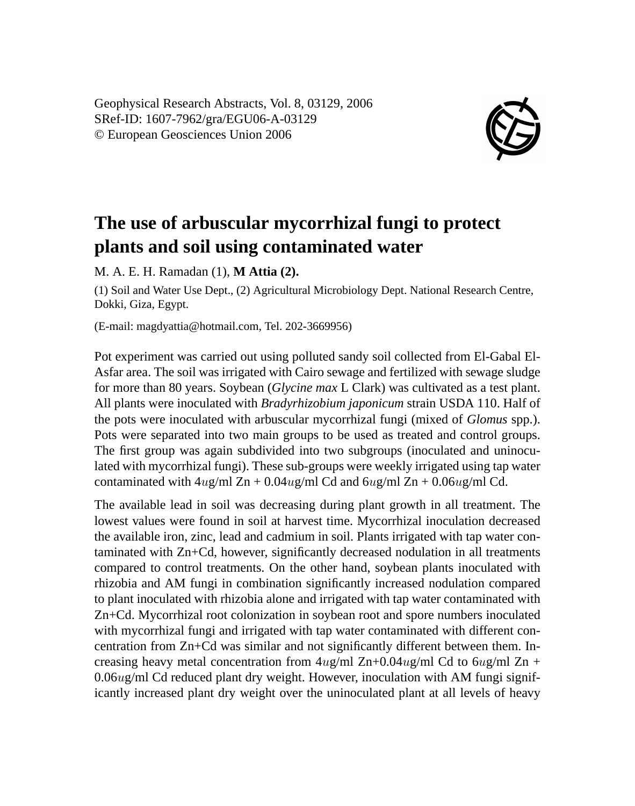Geophysical Research Abstracts, Vol. 8, 03129, 2006 SRef-ID: 1607-7962/gra/EGU06-A-03129 © European Geosciences Union 2006



## **The use of arbuscular mycorrhizal fungi to protect plants and soil using contaminated water**

M. A. E. H. Ramadan (1), **M Attia (2).**

(1) Soil and Water Use Dept., (2) Agricultural Microbiology Dept. National Research Centre, Dokki, Giza, Egypt.

(E-mail: magdyattia@hotmail.com, Tel. 202-3669956)

Pot experiment was carried out using polluted sandy soil collected from El-Gabal El-Asfar area. The soil was irrigated with Cairo sewage and fertilized with sewage sludge for more than 80 years. Soybean (*Glycine max* L Clark) was cultivated as a test plant. All plants were inoculated with *Bradyrhizobium japonicum* strain USDA 110. Half of the pots were inoculated with arbuscular mycorrhizal fungi (mixed of *Glomus* spp.). Pots were separated into two main groups to be used as treated and control groups. The first group was again subdivided into two subgroups (inoculated and uninoculated with mycorrhizal fungi). These sub-groups were weekly irrigated using tap water contaminated with  $4ug/ml Zn + 0.04ug/ml Cd$  and  $6ug/ml Zn + 0.06ug/ml Cd$ .

The available lead in soil was decreasing during plant growth in all treatment. The lowest values were found in soil at harvest time. Mycorrhizal inoculation decreased the available iron, zinc, lead and cadmium in soil. Plants irrigated with tap water contaminated with Zn+Cd, however, significantly decreased nodulation in all treatments compared to control treatments. On the other hand, soybean plants inoculated with rhizobia and AM fungi in combination significantly increased nodulation compared to plant inoculated with rhizobia alone and irrigated with tap water contaminated with Zn+Cd. Mycorrhizal root colonization in soybean root and spore numbers inoculated with mycorrhizal fungi and irrigated with tap water contaminated with different concentration from Zn+Cd was similar and not significantly different between them. Increasing heavy metal concentration from  $4ug/ml Zn+0.04ug/ml Cd$  to  $6ug/ml Zn +$ 0.06ug/ml Cd reduced plant dry weight. However, inoculation with AM fungi significantly increased plant dry weight over the uninoculated plant at all levels of heavy